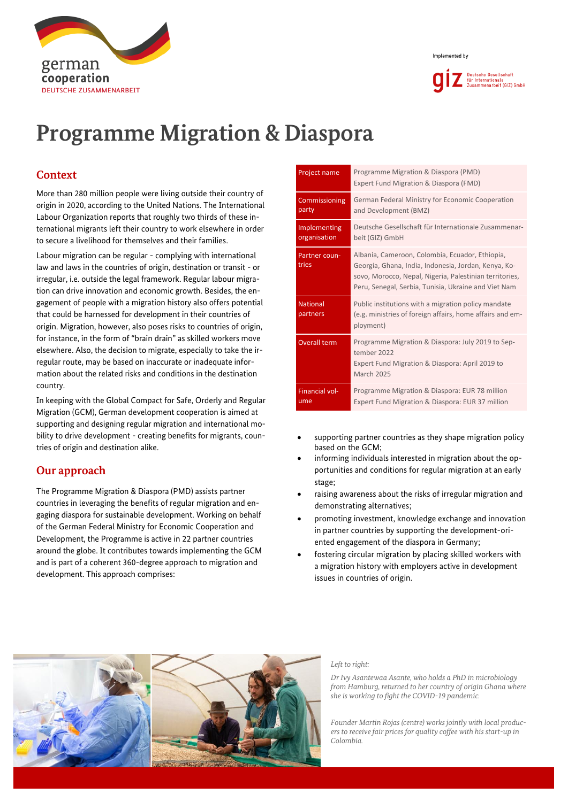



# **Programme Migration & Diaspora**

# **Context**

german

cooperation **DEUTSCHE ZUSAMMENARBEIT** 

More than 280 million people were living outside their country of origin in 2020, according to the United Nations. The International Labour Organization reports that roughly two thirds of these international migrants left their country to work elsewhere in order to secure a livelihood for themselves and their families.

Labour migration can be regular - complying with international law and laws in the countries of origin, destination or transit - or irregular, i.e. outside the legal framework. Regular labour migration can drive innovation and economic growth. Besides, the engagement of people with a migration history also offers potential that could be harnessed for development in their countries of origin. Migration, however, also poses risks to countries of origin, for instance, in the form of "brain drain" as skilled workers move elsewhere. Also, the decision to migrate, especially to take the irregular route, may be based on inaccurate or inadequate information about the related risks and conditions in the destination country.

In keeping with the Global Compact for Safe, Orderly and Regular Migration (GCM), German development cooperation is aimed at supporting and designing regular migration and international mobility to drive development - creating benefits for migrants, countries of origin and destination alike.

## **Our approach**

The Programme Migration & Diaspora (PMD) assists partner countries in leveraging the benefits of regular migration and engaging diaspora for sustainable development. Working on behalf of the German Federal Ministry for Economic Cooperation and Development, the Programme is active in 22 partner countries around the globe. It contributes towards implementing the GCM and is part of a coherent 360-degree approach to migration and development. This approach comprises:

| Project name                 | Programme Migration & Diaspora (PMD)<br>Expert Fund Migration & Diaspora (FMD)                                                                                                                                             |  |  |
|------------------------------|----------------------------------------------------------------------------------------------------------------------------------------------------------------------------------------------------------------------------|--|--|
| Commissioning<br>party       | German Federal Ministry for Economic Cooperation<br>and Development (BMZ)                                                                                                                                                  |  |  |
| Implementing<br>organisation | Deutsche Gesellschaft für Internationale Zusammenar-<br>beit (GIZ) GmbH                                                                                                                                                    |  |  |
| Partner coun-<br>tries       | Albania, Cameroon, Colombia, Ecuador, Ethiopia,<br>Georgia, Ghana, India, Indonesia, Jordan, Kenya, Ko-<br>sovo, Morocco, Nepal, Nigeria, Palestinian territories,<br>Peru, Senegal, Serbia, Tunisia, Ukraine and Viet Nam |  |  |
| <b>National</b><br>partners  | Public institutions with a migration policy mandate<br>(e.g. ministries of foreign affairs, home affairs and em-<br>ployment)                                                                                              |  |  |
| <b>Overall term</b>          | Programme Migration & Diaspora: July 2019 to Sep-<br>tember 2022<br>Expert Fund Migration & Diaspora: April 2019 to<br><b>March 2025</b>                                                                                   |  |  |
| <b>Financial vol-</b><br>ume | Programme Migration & Diaspora: EUR 78 million<br>Expert Fund Migration & Diaspora: EUR 37 million                                                                                                                         |  |  |

- supporting partner countries as they shape migration policy based on the GCM;
- informing individuals interested in migration about the opportunities and conditions for regular migration at an early stage;
- raising awareness about the risks of irregular migration and demonstrating alternatives;
- promoting investment, knowledge exchange and innovation in partner countries by supporting the development-oriented engagement of the diaspora in Germany;
- fostering circular migration by placing skilled workers with a migration history with employers active in development issues in countries of origin.



#### *Left to right:*

*Dr Ivy Asantewaa Asante, who holds a PhD in microbiology from Hamburg, returned to her country of origin Ghana where she is working to fight the COVID-19 pandemic.* 

*Founder Martin Rojas (centre) works jointly with local producers to receive fair prices for quality coffee with his start-up in Colombia.*